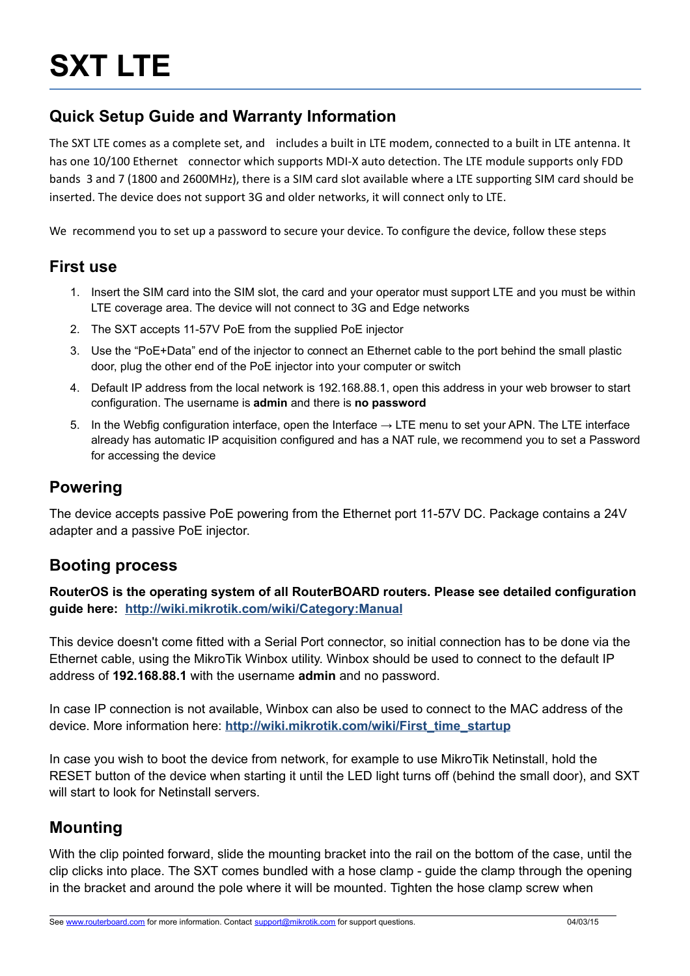## **Quick Setup Guide and Warranty Information**

The SXT LTE comes as a complete set, and includes a built in LTE modem, connected to a built in LTE antenna. It has one 10/100 Ethernet connector which supports MDI-X auto detection. The LTE module supports only FDD bands 3 and 7 (1800 and 2600MHz), there is a SIM card slot available where a LTE supporting SIM card should be inserted. The device does not support 3G and older networks, it will connect only to LTE.

We recommend you to set up a password to secure your device. To configure the device, follow these steps

#### **First use**

- 1. Insert the SIM card into the SIM slot, the card and your operator must support LTE and you must be within LTE coverage area. The device will not connect to 3G and Edge networks
- 2. The SXT accepts 11-57V PoE from the supplied PoE injector
- 3. Use the "PoE+Data" end of the injector to connect an Ethernet cable to the port behind the small plastic door, plug the other end of the PoE injector into your computer or switch
- 4. Default IP address from the local network is 192.168.88.1, open this address in your web browser to start configuration. The username is **admin** and there is **no password**
- 5. In the Webfig configuration interface, open the Interface  $\rightarrow$  LTE menu to set your APN. The LTE interface already has automatic IP acquisition configured and has a NAT rule, we recommend you to set a Password for accessing the device

### **Powering**

The device accepts passive PoE powering from the Ethernet port 11-57V DC. Package contains a 24V adapter and a passive PoE injector.

### **Booting process**

**RouterOS is the operating system of all RouterBOARD routers. Please see detailed configuration guide here: <http://wiki.mikrotik.com/wiki/Category:Manual>**

This device doesn't come fitted with a Serial Port connector, so initial connection has to be done via the Ethernet cable, using the MikroTik Winbox utility. Winbox should be used to connect to the default IP address of **192.168.88.1** with the username **admin** and no password.

In case IP connection is not available, Winbox can also be used to connect to the MAC address of the device. More information here: **[http://wiki.mikrotik.com/wiki/First\\_time\\_startup](http://wiki.mikrotik.com/wiki/First_time_startup)**

In case you wish to boot the device from network, for example to use MikroTik Netinstall, hold the RESET button of the device when starting it until the LED light turns off (behind the small door), and SXT will start to look for Netinstall servers.

## **Mounting**

With the clip pointed forward, slide the mounting bracket into the rail on the bottom of the case, until the clip clicks into place. The SXT comes bundled with a hose clamp - guide the clamp through the opening in the bracket and around the pole where it will be mounted. Tighten the hose clamp screw when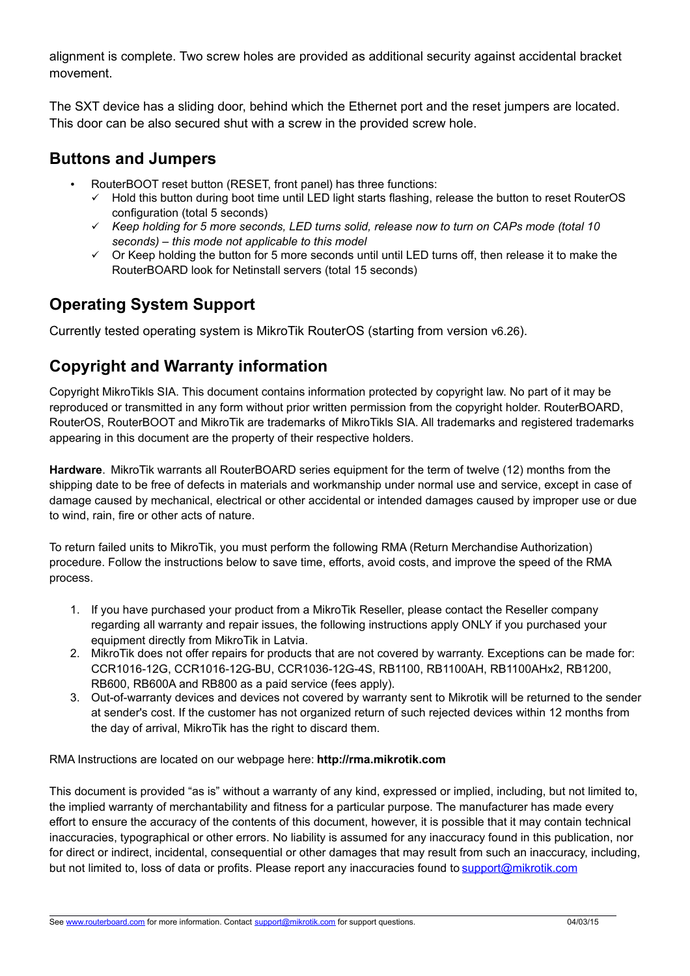alignment is complete. Two screw holes are provided as additional security against accidental bracket movement.

The SXT device has a sliding door, behind which the Ethernet port and the reset jumpers are located. This door can be also secured shut with a screw in the provided screw hole.

### **Buttons and Jumpers**

- RouterBOOT reset button (RESET, front panel) has three functions:
	- Hold this button during boot time until LED light starts flashing, release the button to reset RouterOS configuration (total 5 seconds)
	- *Keep holding for 5 more seconds, LED turns solid, release now to turn on CAPs mode (total 10 seconds) – this mode not applicable to this model*
	- $\checkmark$  Or Keep holding the button for 5 more seconds until until LED turns off, then release it to make the RouterBOARD look for Netinstall servers (total 15 seconds)

# **Operating System Support**

Currently tested operating system is MikroTik RouterOS (starting from version v6.26).

## **Copyright and Warranty information**

Copyright MikroTikls SIA. This document contains information protected by copyright law. No part of it may be reproduced or transmitted in any form without prior written permission from the copyright holder. RouterBOARD, RouterOS, RouterBOOT and MikroTik are trademarks of MikroTikls SIA. All trademarks and registered trademarks appearing in this document are the property of their respective holders.

**Hardware**. MikroTik warrants all RouterBOARD series equipment for the term of twelve (12) months from the shipping date to be free of defects in materials and workmanship under normal use and service, except in case of damage caused by mechanical, electrical or other accidental or intended damages caused by improper use or due to wind, rain, fire or other acts of nature.

To return failed units to MikroTik, you must perform the following RMA (Return Merchandise Authorization) procedure. Follow the instructions below to save time, efforts, avoid costs, and improve the speed of the RMA process.

- 1. If you have purchased your product from a MikroTik Reseller, please contact the Reseller company regarding all warranty and repair issues, the following instructions apply ONLY if you purchased your equipment directly from MikroTik in Latvia.
- 2. MikroTik does not offer repairs for products that are not covered by warranty. Exceptions can be made for: CCR1016-12G, CCR1016-12G-BU, CCR1036-12G-4S, RB1100, RB1100AH, RB1100AHx2, RB1200, RB600, RB600A and RB800 as a paid service (fees apply).
- 3. Out-of-warranty devices and devices not covered by warranty sent to Mikrotik will be returned to the sender at sender's cost. If the customer has not organized return of such rejected devices within 12 months from the day of arrival, MikroTik has the right to discard them.

RMA Instructions are located on our webpage here: **http://rma.mikrotik.com**

This document is provided "as is" without a warranty of any kind, expressed or implied, including, but not limited to, the implied warranty of merchantability and fitness for a particular purpose. The manufacturer has made every effort to ensure the accuracy of the contents of this document, however, it is possible that it may contain technical inaccuracies, typographical or other errors. No liability is assumed for any inaccuracy found in this publication, nor for direct or indirect, incidental, consequential or other damages that may result from such an inaccuracy, including, but not limited to, loss of data or profits. Please report any inaccuracies found to [support@mikrotik.com](mailto:support@mikrotik.com)